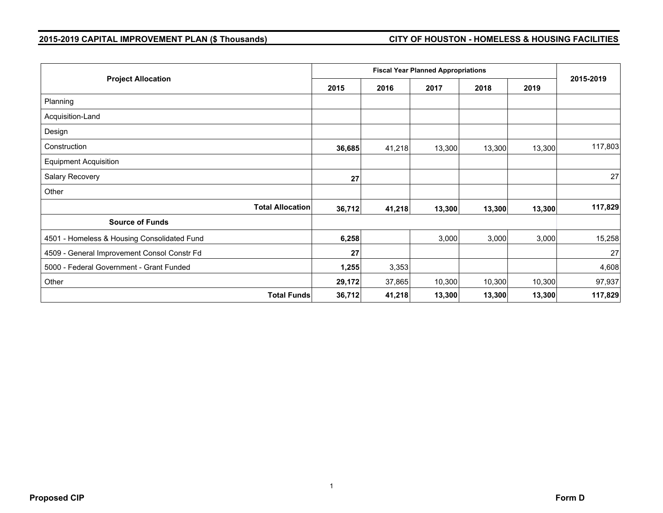## **2015-2019 CAPITAL IMPROVEMENT PLAN (\$ Thousands) CITY OF HOUSTON - HOMELESS & HOUSING FACILITIES**

|                                             |        | <b>Fiscal Year Planned Appropriations</b> |        |        |        |           |  |
|---------------------------------------------|--------|-------------------------------------------|--------|--------|--------|-----------|--|
| <b>Project Allocation</b>                   | 2015   | 2016                                      | 2017   | 2018   | 2019   | 2015-2019 |  |
| Planning                                    |        |                                           |        |        |        |           |  |
| Acquisition-Land                            |        |                                           |        |        |        |           |  |
| Design                                      |        |                                           |        |        |        |           |  |
| Construction                                | 36,685 | 41,218                                    | 13,300 | 13,300 | 13,300 | 117,803   |  |
| <b>Equipment Acquisition</b>                |        |                                           |        |        |        |           |  |
| Salary Recovery                             | 27     |                                           |        |        |        | 27        |  |
| Other                                       |        |                                           |        |        |        |           |  |
| <b>Total Allocation</b>                     | 36,712 | 41,218                                    | 13,300 | 13,300 | 13,300 | 117,829   |  |
| <b>Source of Funds</b>                      |        |                                           |        |        |        |           |  |
| 4501 - Homeless & Housing Consolidated Fund | 6,258  |                                           | 3,000  | 3,000  | 3,000  | 15,258    |  |
| 4509 - General Improvement Consol Constr Fd | 27     |                                           |        |        |        | 27        |  |
| 5000 - Federal Government - Grant Funded    | 1,255  | 3,353                                     |        |        |        | 4,608     |  |
| Other                                       | 29,172 | 37,865                                    | 10,300 | 10,300 | 10,300 | 97,937    |  |
| <b>Total Funds</b>                          | 36,712 | 41,218                                    | 13,300 | 13,300 | 13,300 | 117,829   |  |